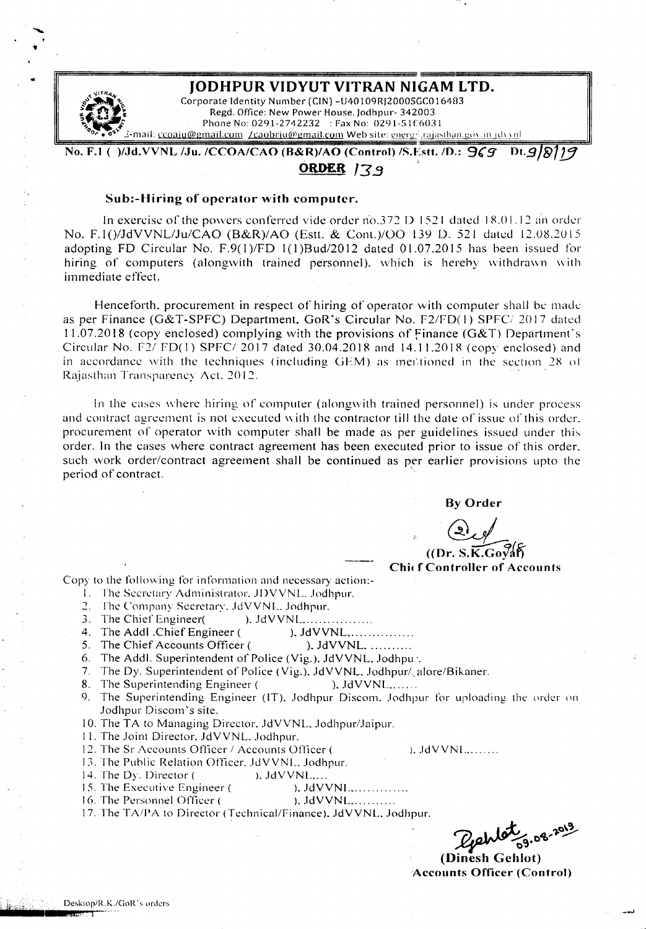

..

## JODHPUR VIDYUT VITRAN NIGAM LTD.

Corporate Identity Number (CIN) -U40109RJ2000SGC016483<br>Regd. Office: New Power House, Jodhpur- 342003 Phone No: 0291-2742232 : Fax No: 0291-5106031 *~or.* o~'" ~-mail. cc(hllu@gmail.colll !caobrju(li1l:rnail.culll Web site: ~:.'.1.~I.-g:,I~ill<.),,!hiJ!lJ:;.lI\.,!'U,h~1l1

No. F.l ( )/,Jd.VVNL /Ju. */CCOA/CAO* (R&R)/AO (Control) /S.Estt. *10.: 9(g* Ot.9/&I13

# ORDER 139

## Sub:-Hiring of operator with computer.

In exercise of the powers conferred vide order no.372 D 1521 dated  $18.01.12$  an order No. F. *[O/JdVVNLlJu/CAO (8&R)/AO* (Estt. & Cont.)/OO [39 D. 521 dated 12.08.2015 adopting FD Circular No. F.9( 1*)/FD* 1(1 *)Bud/20* 12 dated 01.07.2015 has been issued for hiring of computers (alongwith trained personnel). which is hereby withdrawn with immediate effect.

Henceforth. procurement in respect of hiring of operator with computer shall be made as per Finance (G&T-SPFC) Department. GoR's Circular No. F2/FD(1) SPFC/ 2017 dated  $11.07.2018$  (copy enclosed) complying with the provisions of Finance (G&T) Department's Circular No. F2/ FD(I) SPFC/ 2017 dated 30.04.20IR and 14.11.201R (copy enclosed) and in accordance with the techniques (including GEM) as mentioned in the section 28 of Rajasthan Transparency Act. 2012.

ln the cases where hiring of computer (alongwith trained personnel) is under process and contract agreement is not executed with the contractor till the date of issue of this order. procurement of operator with computer shall be made as per guidelines issued under this order. In the cases where contract agreement has been executed prior to issue of this order. such work order/contract agreement shall be continued as per earlier provisions upto the period of contract.

By Order

 $($ (Dr. S.K.Gov Chic f Controller of Accounts

 $\lambda$ . JdVVNI $\ldots$ ...

Copy to the following for information and necessary action:-

- I. Ihe Secretary Administrator. JDVVNL. Jodhpur.
- 2. The Company Secretary. JdVVNL. Jodhpur.
- 3. The Chief Engineer( ). JdVVNL..................
- 4. The Addl .Chief Engineer ( ). JdVVNL, ... ... ... ......
- 5. The Chief Accounts Officer ( ). JdVVNL. ..........
- 6. The Addl. Superintendent of Police (Vig.). JdVVNL. Jodhpu..
- 7. The Dy. Superintendent of Police (Vig.). JdVVNL. Jodhpur/. alore/Bikaner.
- 8. The Superintending Engineer (
). JdVVNL.......
- 9. The Superintending Engineer (IT), Jodhpur Discom. Jodhpur for uploading the order on Jodhpur Discom's site.
- 10. The TA to Managing Director. JdVVNL. Jodhpur/Jaipur.
- II. The Joint Director. JdVVNL. Jodhpur.
- 12. The Sr Accounts Officer *I* Accounts Officer (
- 13. The Public Relation Officer. JdVVNL. Jodhpur.
- 14. The Dy. Director ( ). JdVVNL....
- 15. The Executive Engineer ( ). JdVVNL .
- 16. The Personnel Officer ( ). JdVVNL............
- 17. The TAlPA to Director (Technical/Finance). JdVVNL. Jodhpur.

Dehlet 9.08-20)

(Dinesh Gehlot) Accounts Officer (Control)

;iiII\jlilil\ii";c·iilt··./ •••••• I!IMMl~"'~..T"i -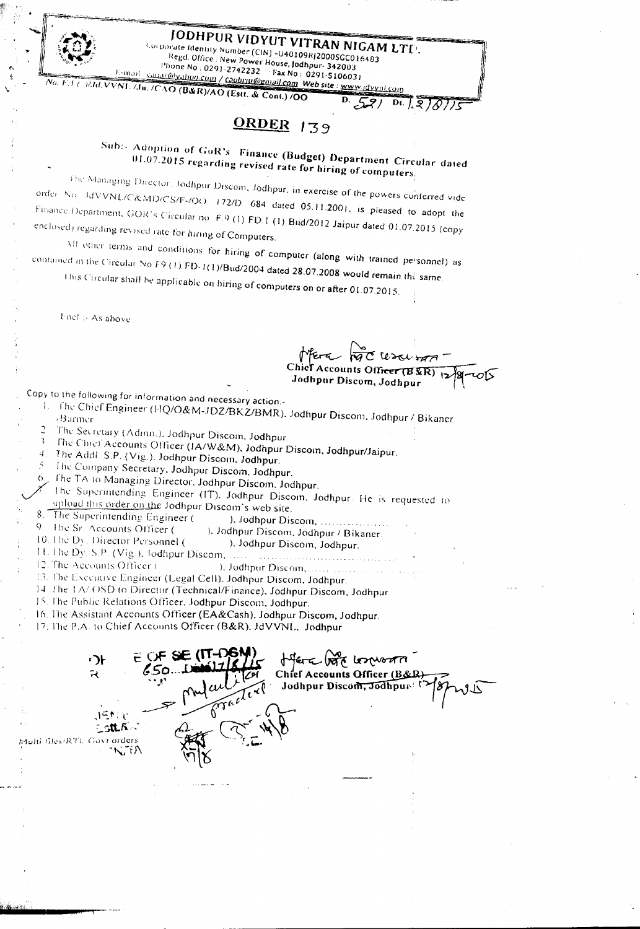JODHPUR VIDYUT VITRAN NIGAM LTU.

Corporate Identity Number (CIN) -U40109RJ2000SCC016483 Regd. Office: New Power House, Jodhpur-342003

Phone No : 0291-2742232 Fax No : 0291-5106031 No. F. I ( )/Id. VVNL /Ju. /CAO (B&R)/AO (Estt. & Cont.) /OO

 $\overline{D}$ رحي

# ORDER 139

Sub:- Adoption of GoR's Finance (Budget) Department Circular dated  $01.07.2015$  regarding revised rate for hiring of computers.

The Managing Ducctor, Jodhpur Discom, Jodhpur, in exercise of the powers conferred vide order No. JdVVNL/C&MD/CS/F-/OO, 172/D, 684 dated 05.11.2001, is pleased to adopt the Finance Department, GOR's Circular no. F.9 (1) FD.1 (1) Bud/2012 Jaipur dated 01.07.2015 (copy enclosed) regarding revised rate for hiring of Computers.

All other terms and conditions for hiring of computer (along with trained personnel) as contained in the Circular No F9 (1) FD-1(1)/Bud/2004 dated 28.07.2008 would remain the same.

This Circular shall be applicable on hiring of computers on or after 01.07.2015.

**Incl.**: As above

E-mail:

ccounts Officer (B ER) Jodhpur Discom, Jodhpur

 $D1.7.870775$ 

Copy to the following for information and necessary action:-

- 1. The Chief Engineer (HQ/O&M-JDZ/BKZ/BMR), Jodhpur Discom, Jodhpur / Bikaner
- The Secretary (Admn.), Jodhpur Discom, Jodhpur.
- The Chief Accounts Officer (IA/W&M), Jodhpur Discom, Jodhpur/Jaipur.
- The Addl. S.P. (Vig.). Jodhpur Discom. Jodhpur.
- The Company Secretary, Jodhpur Discom, Jodhpur.
- The TA to Managing Director, Jodhpur Discom, Jodhpur,

The Superintending Engineer (IT). Jodhpur Discom, Jodhpur. He is requested to upload this order on the Jodhpur Discom's web site.

8. The Superintending Engineer (

). Jodhpur Discom, ..... 9. The Sr. Accounts Officer ( ). Jodhpur Discom, Jodhpur / Bikaner.

- 10. The Dy. Director Personnel ( ), Jodhpur Discom, Jodhpur.
- 11. The Dy. S.P. (Vig.), Jodhpur Discom, ... . . *. .* . . *. .* . . . . . . . .
- 12. The Accounts Officer ( ). Jodhpur Discom....
- 13. The Executive Engineer (Legal Cell), Jodhpur Discom, Jodhpur.
- 14 The TA/ OSD to Director (Technical/Finance), Jodhpur Discom, Jodhpur
- 15. The Public Relations Officer, Jodhpur Discom, Jodhpur.
- 16. The Assistant Accounts Officer (EA&Cash), Jodhpur Discom, Jodhpur.
- 17. The P.A. to Chief Accounts Officer (B&R). JdVVNL, Jodhpur

∙∋⊦ offera voto losprogra  $\mathbb{R}$ Chief Accounts Officer (B&R Tracterel Jodhpur Discom, Jodhpur ilti files/RTI: Govt orders NIA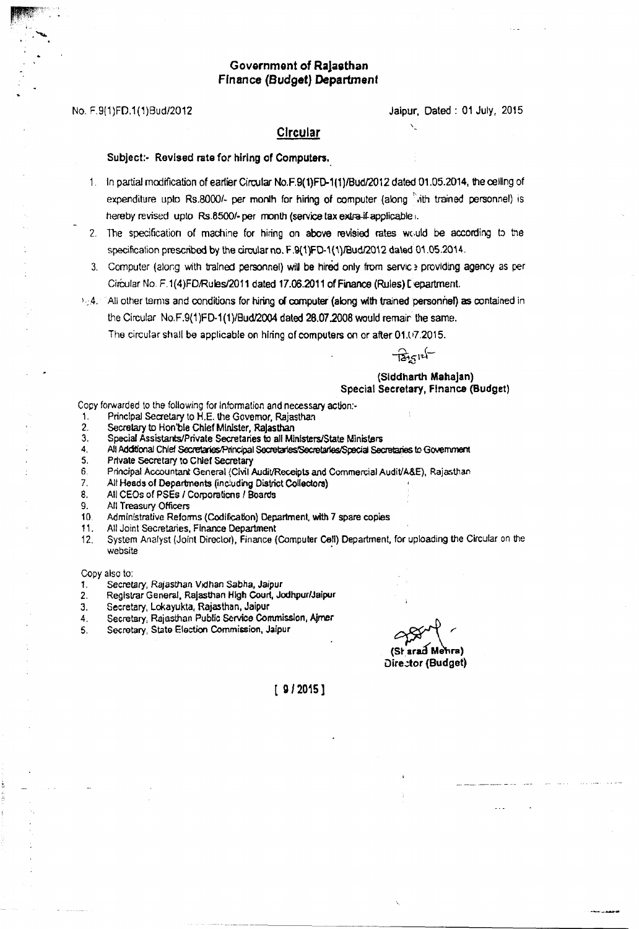## Government of Ralasthan Ffnance (Budget) Department

No. F.9(1)FO.1(1)Bud/2012 Jaipur, Dated: 01 July, 2015

# $Circular$   $\qquad \qquad$

#### Subject:- Revised rate for hiring of Computers.

- 1. In partial modification of eartier Circular No.F.9(1)FD-1(1)/Bud/2012 dated 01.05.2014, the ceiling of expenditure upto Rs.8000/- per month for hiring of computer (along  $\;$ ith trained personnel) is hereby revised upto Rs.8500/- per month (service tax extra-if-applicable).
- 2. The specification of machine for hiring on above revisied rates would be according to the specification prescribed by the circular no. F.9(1)FD-1(1)/Bud/2012 dated 01.05.2014.
- 3. Computer (along with trained personnel) will be hired only from service providing agency as per Circular No. F.1(4)FD/Rules/2011 dated 17.06.2011 of Finance (Rules) L'epartment.
- $E_1$ ,  $A$ . . All other terms and conditions for hiring of computer (along with trained personriel) as contained in the Circular No.F.9(1)FD-1(1)/Bud/2004 dated 28.07.2008 would remain the same.

The circular shall be applicable on hiring of computers on or after 01.07.2015.

 $\frac{1}{2}$   $\frac{1}{2}$ 

#### (Siddharth Mahajan) Special Secretary, FInance (Budget)

Copy forwarded to the following for information and necessary action:-

- 1. Principal Secretary to H.E. the Governor, Rajasthan.<br>2. Secretary to Hon'ble Chief Minister, Rajasthan.
- Secretary to Hon'ble Chief Minister, Rajasthan
- 3. Special Assistants/Private Secretaries to all Ministers/State Ministers
- 4. All Additional Chief Secretaries/Principal Secretaries/Secretaries/Special Secretaries to Government
- 5. Private secretary to Chief secretary
- 6. Principal Accountant General (Civil Audit/Receipts and Commercial Audit/A&E), Rajasthan
- 7. All Heads of Departments (inc!uding District Collectors)
- 8. All CEOs of PSEs *I* Corporaficns *I* Boards
- 9. All Treasury Officers
- 10. Adminlstrative Reforms (Codification) Department, with 7 spare copies
- 1'. All Joint Secretaries, Finance Department
- 12. System Analyst (Joint Director), Finance (Computer Cell) Department, for uploading the Circular on the website

Copy also to:

- *1. Secretary,* Rajasthan Vidhan Sabha, Jaipur
- 2. Registrar General, Rajasthan High Court, Jodhpur/Jaipur
- 3. Secretary, Lokayukta, Rajasthan, Jaipur
- 
- 

4. Secretary, Rajasthan Public Service Commission, Aimer<br>5. Secretary, State Election Commission, Jaipur<br>(St<sub>:</sub> arad Mehra) Director (Budget)

[ g *12015]*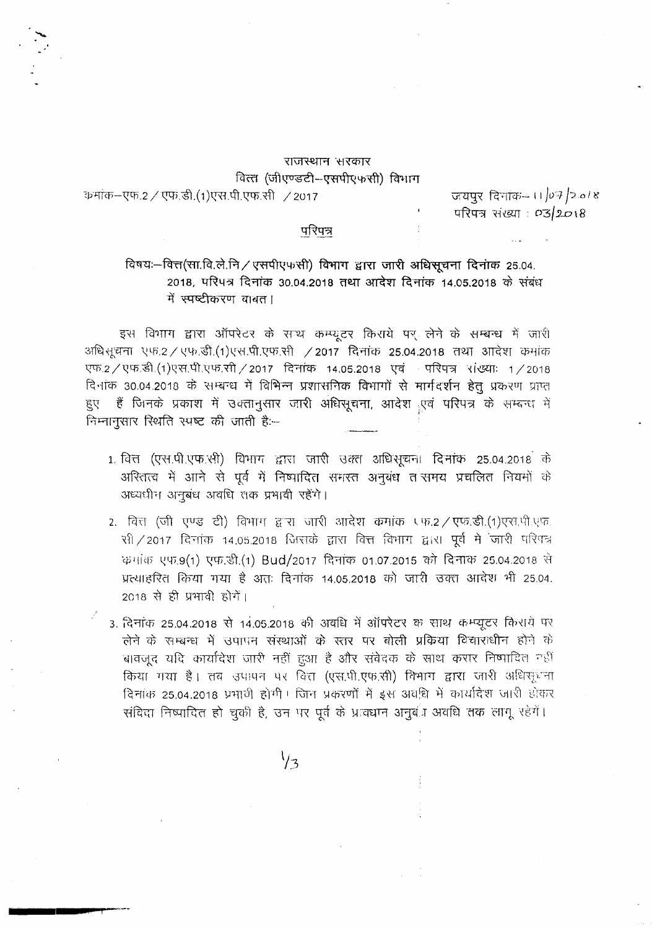# राजस्थान *सरकार* वित्त (जीएण्डटी-एसपीएफसी) विभाग

?p·~-~tf).2 /C!lfi.~.( <sup>1</sup>)\rx1.m.~.-xt1 /2017 *<sup>~</sup> ~·;·TTCfi-.-* II *j()o'f /,20* I~

परिपत्र संख्या : *03/2018* 

### परिपत्र

## $f$ विषयः-वित्त(सा.वि.ले.नि/ एसपीएफसी) विभाग द्वारा जारी अधिसूचना दिनांक 25.04. 2018, परिपत्र दिनांक 30.04.2018 तथा आदेश दिनांक 14.05.2018 के संबंध में स्पष्टीकरण वाबत।

इस विभाग द्वारा ऑपरेटर के साथ कम्प्यूटर किराये पर लेने के सम्बन्ध में जारी अधिशूचना एफ.2 / एफ.डी.(1) एस.पी.एफ.सी / 2017 दिनांक 25.04.2018 तथा आदेश कमांक एफ.2/एफ.डी.(1)एस.पी.एफ.सी/2017 दिनांक 14.05.2018 एवं परिपत्र संख्याः 1/2018 दिनांक 30.04.2018 के सम्बन्ध में विभिन्न प्रशासनिक विभागों से मार्गदर्शन हेतु प्रकरण प्राप्त हुए हैं जिनके प्रकाश में उक्तानुसार जारी अधिसूचना, आदेश एवं परिपत्र के सम्बन्ध में निम्नानुसार रिथति स्पष्ट की जाती हैः--

- $1.$  वित्त (एस.पी.एफ.सी) विभाग द्वारा जारी उक्त अधिसूचना दिनांक 25.04.2018 के 3ारितत्व में आने से पूर्व में निष्पादित समस्त अनुबंध त<sup>्</sup>समय प्रचलित नियमों के अध्यधीन अनुबंध अवधि तक प्रभावी रहेंगे।
- 2. वित्त (जी एण्ड टी) विभाग द्वारा जारी आदेश कमांक एफ.2 / एफ.डी.(1)एस.पी.एफ.  $R$ ) / 2017 दिनांक 14.05.2018 जिसके द्वारा वित्त विभाग द्वारा पूर्व में जारी परिपत्र क्रमांक एफ.9(1) एफ.डी.(1) Bud/2017 दिनांक 01.07.2015 को दिनांक 25.04.2018 से '\:f~-<'lI~-~(,1fq)'[ff 'p.:n -g ~Rf: Fcr;:fiq) 14.05.2018 <1"'1 i.J'fT1j \3crn 3fr<hlr 1.fr 25.0·1.  $2018$  से ही प्रभावी होगें।
- 3. दिनांक 25.04.2018 से 14.05.2018 की अवधि में ऑपरेटर क साथ कम्प्यूटर किराये पर लेने के सम्बन्ध में उपापन संस्थाओं के स्तर पर बोली प्रक्रिया विचाराधीन होने के चावजूद यदि कार्यादेश जारी नहीं हुआ है और संवेदक के साथ करार निष्पादित नहीं किया गया है। तब उपापन पर वित्त (एस.पी.एफ.सी) विभाग द्वारा जारी अधिरपूर ना दिनांक 25.04.2018 प्रभावी होगी। जिन प्रकरणों में इस अवधि में कार्यादेश जारी होकर संविदा निष्पादित हो चुकी है, उन पर पूर्व के प्रावधान अनुबंध अवधि तक लागू रहेगें।

 $\frac{1}{3}$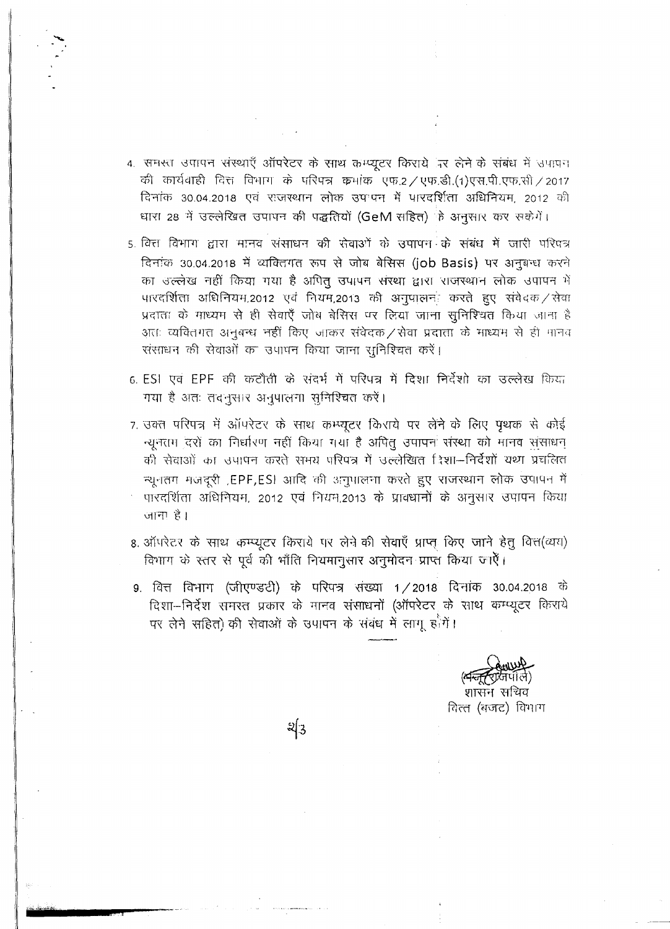4. समस्त उपापन संस्थाएँ ऑपरेटर के साथ कम्प्यूटर किराये पर लेने के संबंध में उपापन की कार्यवाही वित्त विभाग के परिपत्र कर्माक एफ.2 / एफ.डी.(1)एस.पी.एफ.सी / 2017 दिनांक 30.04.2018 एवं राजस्थान लोक उपापन में पारदर्शिता अधिनियम, 2012 की धारा 28 में उल्लेखित उपापन की पद्धतियों (GeM सहित) के अनुसार कर सकेंगें।

5. वित्त विभाग द्वारा मानव संसाधन की रोवाओं के उपापन के संबंध में जारी परिषत्र दिनांक 30.04.2018 में व्यक्तिगत रूप से जोब बेसिस (job Basis) पर अनुबन्ध करने का उल्लेख नहीं किया गया है अपित् उपापन संस्था द्वारा राजस्थान लोक उपापन में पारदर्शिता अधिनियम,2012 एवं नियम,2013 की अनुपालनः करते हुए संवेदक / सेवा प्रदातः के माध्यम से ही सेवाएँ जोब बेसिस पर लिया जाना सुनिश्चित किया जाना है अतः व्यक्तिगत अनुबन्ध नहीं किए जाकर संवेदक / सेवा प्रदाता के माध्यम से ही मानव संसाधन की सेवाओं का उपापन किया जाना सुनिश्चित करें।

- 6. ESI एवं EPF की कटौती के संदर्भ में परिपत्र में दिशा निर्देशो का उल्लेख किया गया है अतः तदनुसार अनुपालना सुनिश्चित करें।
- 7. उक्त परिपत्र में ऑपरेटर के साथ कम्प्यूटर किराये पर लेने के लिए पृथक से कोई न्यूनतम दरों का निर्धारण नहीं किया गया है अपितू उपापन संस्था को मानव संसाधन की सेवाओं का उपापन करते समय परिपत्र में उल्लेखित दिशा—निर्देशों यथा प्रचलित न्यूनतम मजदूरी ,EPF,ESI आदि की अनुपालना करते हुए राजस्थान लोक उपापन में पारदर्शिता अधिनियम, 2012 एवं नियम,2013 के प्राक्धानों के अनुसार उपापन किया जाना है।
- 8. ऑपरेटर के साथ कम्प्यूटर किराये पर लेने की सेवाएँ प्राप्त किए जाने हेतु वित्त(व्यय) विभाग के स्तर से पूर्व की भाँति नियमानुसार अनुमोदन प्राप्त किया जाएँ।
- 9. वित्त विभाग (जीएण्डटी) के परिपत्र संख्या 1/2018 दिनांक 30.04.2018 के दिशा-निर्देश समरत प्रकार के मानव संसाधनों (ऑपरेटर के साथ कम्प्यूटर किराये पर लेने सहित) की सेवाओं के उपापन के संबंध में लागू हैंगें।

शासन संचिव वित्त (बजट) विभाग

 $2\sqrt{3}$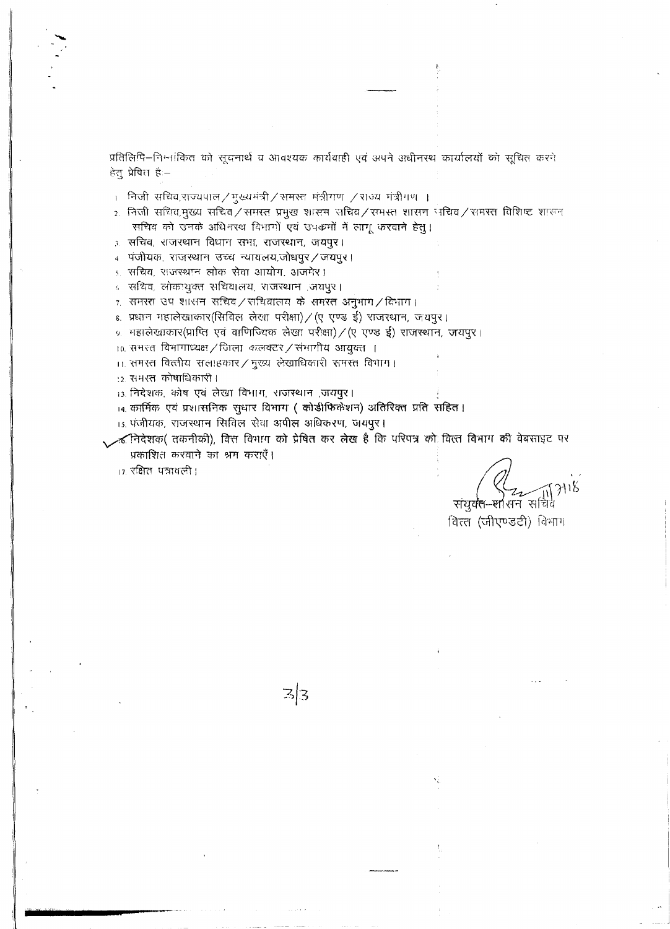प्रतिलिपि–निम्नांकित को सूचनार्थ व आवश्यक कार्यवाही एवं अपने अधीनस्थ कार्यालयों को सूचित करने हेल् प्रेषित है:-

। निजी सचिव,राज्यपाल ⁄ मुख्यमंत्री ⁄ समस्त मंत्रीगण ⁄ राज्य मंत्रीगण ।

2. निजी सचिव मुख्य सचिव / समरत प्रमुख शासन राचिव / समस्त शासन निचिव / समस्त विशिष्ट शासन सचिव को उनके अधिनस्थ विभागों एवं उपक्रमों में लागू करवाने हेतू।

३ सचिव, राजरथान विधान सभा, राजस्थान, जयपुर।

4 पंजीयक, राजस्थान उच्च न्यायलय,जोधपुर / जयपुर।

<u>s. सचिव, राजस्थान लोक सेवा आयोग, अजमेर।</u>

८ संधिव, लोकाथुक्त संधिवालय, राजस्थान ,जयपुरं।

 $\tau$  समस्त उप शासन सचिव/सचिवालय के समस्त अनुभाग/विभाग।

s. प्रधान गहालेखाकार(सिविल लेखा परीक्षा) / (ए एण्ड ई) राजरथान, जयपुर।

<u>% महालेखाकार(प्राप्ति एवं वाणिज्यिक लेखा परीक्षा) / (ए एण्ड ई) राजस्थान, जयपुर ।</u>

10. समस्त विभागाध्यक्ष / जिला कलक्टर / संभागीय आयुक्त ।

11. समस्त वित्तीय सलाहकार / मुख्य लेखाधिकारी समस्त विभाग।

:2. समरत कोषाधिकारी ।

13. निदेशक, कोष एवं लेखा विभाग, राजस्थान ,जयपूर।

14. कार्मिक एवं प्रशासनिक सुधार विभाग (कोडीफिकेशन) अतिरिक्त प्रति सहित।

 $\mathbb{Z}/3$ 

15. पंजीयक, राजस्थान सिविल सेवा अपील अधिकरण, जयपुर।

. लिदेशक( तकनीकी), वित्त विभाग को प्रेषित कर लेख है कि परिपत्र को वित्त विभाग की वेबसाइट पर प्रकाशित करवाने का श्रम कराएँ।

17. रक्षित पत्रावली।

संयुक्त-शासन सचिवे

वित्त (जीएण्डटी) विभाग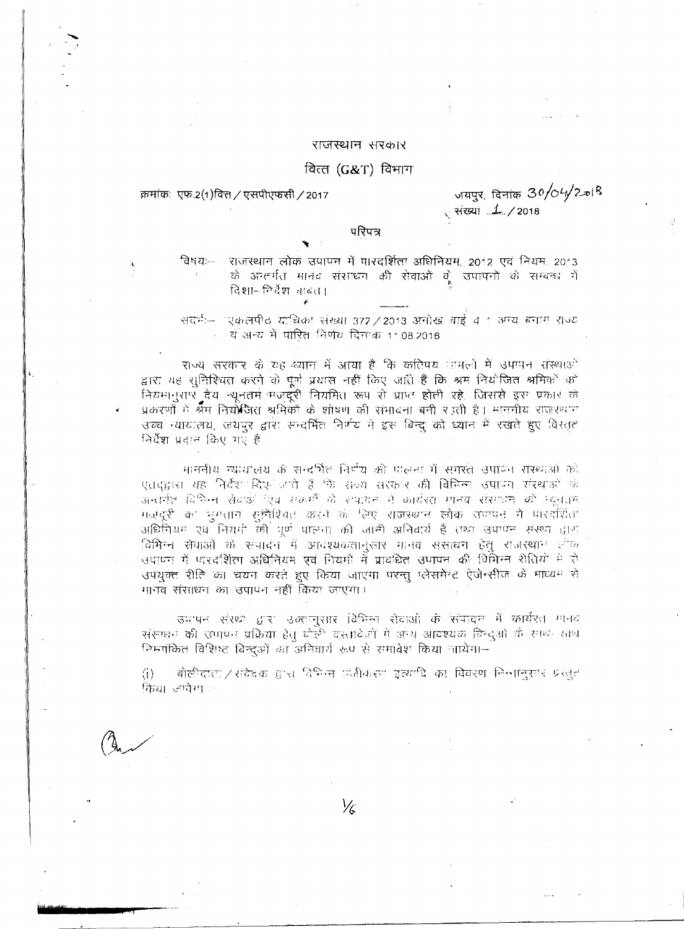#### राजस्थान सरकार

## वित्त $(G&T)$  विभाग

क्रमांकः एफ.2(1)वित्त / एसपीएफसी / 2017

जयपुर, दिनांक 30/04/2.018 

## परिपत्र

ਕਿਅਧ:— राजस्थान लोक उपापन में पारदर्शिता अधिनियम, 2012 एवं नियम, 2013 के अन्तर्गत मानव संसाधन की सेवाओं के उपापनों के सम्बन्ध में दिशा- निर्देश चाबत।

सदर्भ— एकलपीठ याचिका संख्या 372 / 2013 अनोख बाई व 1 अन्य बनाम राज्य - व अन्य में पारित निर्णय दिनाक 11,08,2016

राज्य सरकार के यह ब्यान में आया है कि करिपय जामलों में उपग्पन संस्थाओं द्वारा यह सुनिश्चित करने के पूर्ण प्रयास नहीं किए जाते हैं कि श्रम नियोजित श्रमिकों को नियमानुसार देय न्यूनतमं मजदूरी नियमित रूप से प्राप्त होती रहे. जिससे इस प्रकार के प्रकरणों में श्रैम नियोजित श्रमिकों के शोषण की संभावना बनी र उती है। माननीय राजस्थान उच्च न्यायालय, जयपुर द्वारा सन्दर्भित निर्णय में इस बिन्द को ध्यान में रखते हुए विस्तृत निर्देश प्रदान किए गए हैं

माननीय न्यायालय के सन्दर्भित निर्णय की पालना में समस्त उपायन संस्थाओं को एतदद्वारा यह निर्देश दिए- जाते हैं कि सच्च सरकार की विभिन्न उपापन संस्थाओं के अन्तर्गत विभिन्न सेटाओं एंब सकर्मों के सपादन में कार्यरत मानव संसाधन को म्यूनतम मजदूरी का भूमतान सुनिश्चित करने के लिए राजस्थान लोक उपापन में पारदर्शिता अधिनियम एवं नियमों की पूर्ण पालना की जानी अनिवार्य है तथा उपाण्न संस्था द्वारा विभिन्न सेवाओं के संपादन में आवश्यकतानलार मानव संसाधन हेत राजस्थान *लेक* उपापन में पारदर्शिता अधिनियम एवं नियमों में प्रावधित उपापन की विमिन्न शैतियों में रो उपयुक्त रीति का चयन करते हुए किया जाएगा परन्तू प्लेसमेन्ट ऐंजेन्सीज के माध्यम से मानव संसाधन का उपापन नहीं किया जाएगा।

उपापन संख्या द्वारा उक्तानुसार विभिन्न सेवाओं के संपादन में कार्यरत मानव संसाधन की उपाएन प्रक्रिया हेतु बोली दश्तावेजों में अन्य आवश्यक बिन्दुओं के साथ-साथ निम्नांकित विशिष्ट बिन्दओं का अनिवार्य रूप से समावेश किया जायेंगा-

बोलीदाता/ संदेद*क*ाद्वारा विभिन्न पंजीकरण इत्यर्णदे का विवरण निन्मानुसार प्रस्तुत  $\langle i \rangle$ किया ज्यवेगा :-

⅛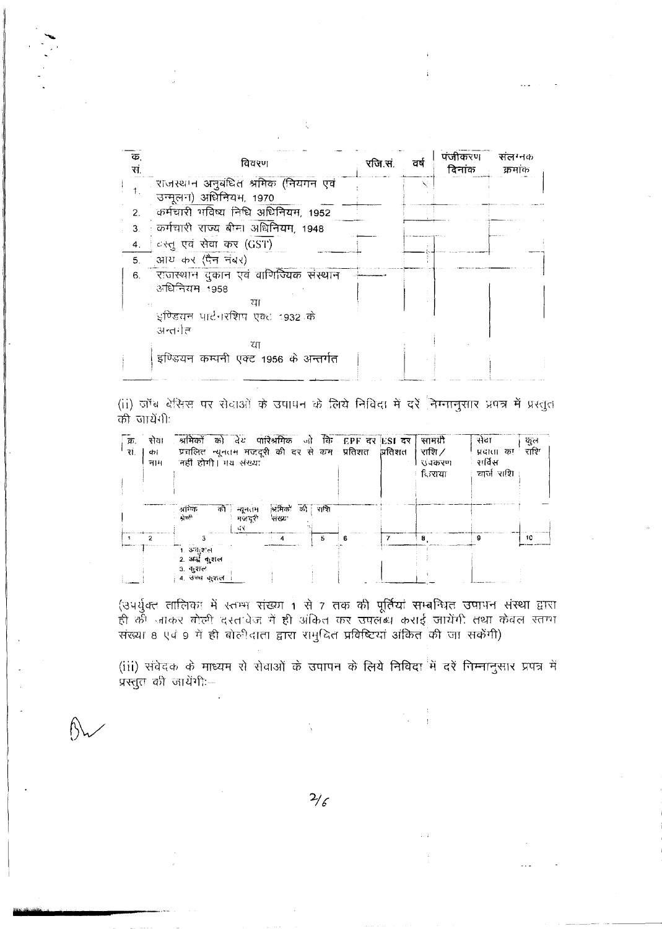| क.<br>स | विवरण                                                           | रजि.सं. | ਰਥੇ | पंजीकरण<br>दिनांक | संलग्नक<br>क्रमांक |
|---------|-----------------------------------------------------------------|---------|-----|-------------------|--------------------|
|         | ं राजस्थान अनुबंधित श्रमिक (नियगन एवं<br>उन्मूलन) अधिनियम, 1970 |         |     |                   |                    |
| 2.      | कर्मचारी गविष्य निधि अधिनियम, 1952                              |         |     |                   |                    |
| 3.      | : कर्मचारी राज्य बीमा अधिनियम, 1948                             |         |     |                   |                    |
| 4.      | दस्तू एवं सेवा कर (GST)                                         |         |     |                   |                    |
| 5.      | आय कर (पैन नंबर)                                                |         |     |                   |                    |
| 6.      | ं राजस्थान दुकान एवं वाणिज्यिक संस्थान<br>अधिनियम 1958<br>या    |         |     |                   |                    |
|         | इण्डियन पार्टनरशिप एक्ट 1932 के<br>अन्तर्गत                     |         |     |                   |                    |
|         | राा<br>इण्डियन कम्पनी एक्ट 1956 के अन्तर्गत                     |         |     |                   |                    |

(ii) जॉब बेसिस पर सेवाओं के उपायन के लिये निविदा में दरें निम्नानुसार प्रपत्र में प्रस्तुत को जायेंगी:

| क्र.<br>रां. | सेवा<br>do l<br>नाम | श्रमिकों को देश पारिश्रमिक जो कि EPF दर ESI दर<br>प्रचलित न्यूनतम मजदूरी की दर से कम प्रतिशत प्रतिशत<br>नहीं होगी। मय संख्या |                             |                   |         |   |   | सामग्री<br>राशि $\angle$<br>रा वकरण<br>दिग्राया | सेवा<br>प्रदाता का<br>सर्विस<br>चार्ज राशि | ળુભ<br>राशि |
|--------------|---------------------|------------------------------------------------------------------------------------------------------------------------------|-----------------------------|-------------------|---------|---|---|-------------------------------------------------|--------------------------------------------|-------------|
|              |                     | आनेक<br>श्रेणी                                                                                                               | को   न्यूनतम<br>मजदरी<br>đΫ | श्रमिक'<br>संख्या | की राशि |   |   |                                                 |                                            |             |
|              |                     |                                                                                                                              |                             |                   | 5       | в | 7 | 8                                               | 9                                          | 10          |
|              |                     | 1. अवस्थल<br>2. अर्द्ध कुशल<br>३. कुशल<br>4. उच्च कुशल                                                                       |                             |                   |         |   |   |                                                 |                                            |             |

(उपर्युक्त तालिका में स्तम्भ संख्या 1 से 7 तक की पूर्तियां सम्बन्धित उपापन संस्था द्वारा ही की जाकर गोली दरत वेज में ही अंकित कर उपलब्ध कराई जायेंगी तथा केवल स्तग्ग<br>संख्या 8 एवं 9 में ही बोलीदाता द्वारा रामुदित प्रविष्टियां अंकित की जा सकेंगी)

(iii) संवेदक के माध्यम से सेवाओं के उपापन के लिये निविदा में दरें निम्नानुसार प्रपत्र में प्रस्तुत की जायेंगी:--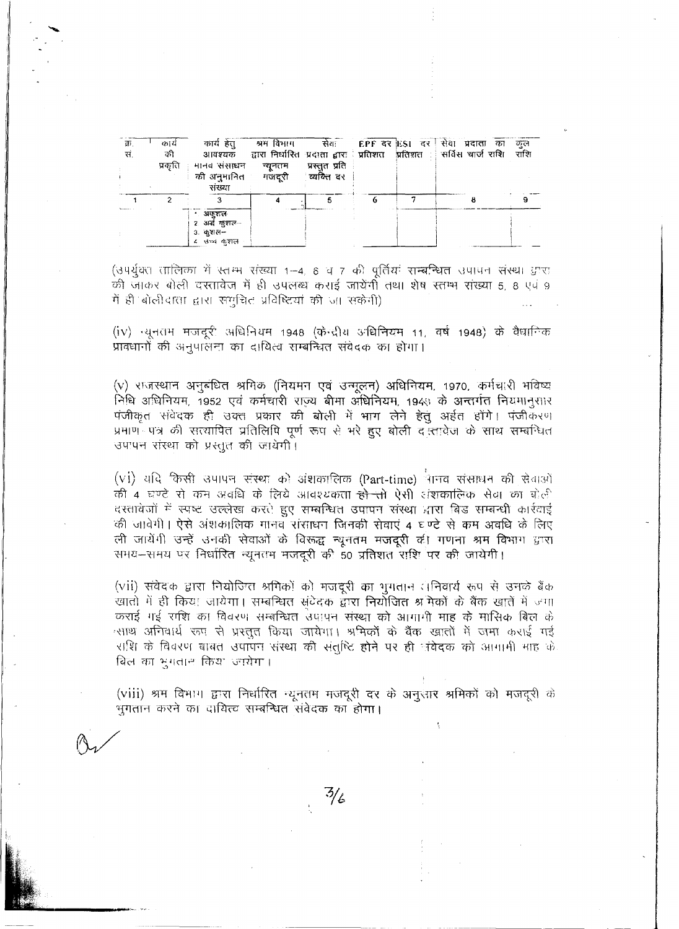| क्र.<br>सं. | काय<br>की<br>प्रकृति | कार्य हेत्<br>मानव संसाधन<br>की अनुमानित - मजदूरी - व्यक्ति दर<br>संख्या | न्युनतम | प्रस्तुत प्रति । |  | श्रम विभाग – सेवः – EPF दर ESI दर   सेवा प्रदाता का<br>आवश्यक द्वारा निर्धारित प्रदाता द्वारा प्रतिशत प्रतिशत । सर्विस चार्ज राशि राशि | कल |
|-------------|----------------------|--------------------------------------------------------------------------|---------|------------------|--|----------------------------------------------------------------------------------------------------------------------------------------|----|
|             |                      | अकुशल<br>२ अन्ने कुशल—<br>$3.4215 -$<br>४ उच्च कुशल                      |         |                  |  |                                                                                                                                        |    |

(उपर्युक्त तालिका में स्तम्म संख्या 1-4, 6 व 7 की पूर्तिया सम्बन्धित उपापन संस्था ग्रास की जाकर बोली दरतावेज में ही उपलब्ध कराई जायेंगी तथा शेष स्तम्भ संख्या 5, 8 एवं 9 में ही बोलीदाता द्वारा समुचित प्रविष्टियां की जा सकेंगी)

(iv) न्यूनतम मजदूरी अधिनियम 1948 (केन्द्रीय अ<mark>धिनियम 11, वर्ष 1948) के</mark> वैधानिक प्रावधानों की अनुपालना का दायित्व सम्बन्धित संवेदक का होगा।

(v) राजस्थान अनुबंधित श्रमिक (नियमन एवं उन्मूलन) अधिनियम, 1970, कर्मचारी भविष्य निधि अधिनियम, 1952 एवं कर्मचारी राज्य बीमा अधिनियम, 1949 के अन्तर्गत नियमानुसार पंजीकृत संवेदक ही उक्त प्रकार की बोली में भाग लेने हेतुं अर्हत होंगे। पंजीकरण प्रमाण पत्र की सत्यापित प्रतिलिपि पूर्ण रूप से भरे हुए बोली दन्तावेज के साथ सम्बन्धित उपापन संस्था को प्रस्तुत की जायेगी।

(v1) यदि किसी उपापन संस्था को अंशकालिक (Part-time) नानव संसाधन की सेवाओं की 4 घण्टे रो कम अवधि के लिये आवश्यकता <del>हो तो</del> ऐसी अंशकालिक सेवा का बोली दरतावेजों में स्पष्ट उल्लेख करते हुए सम्बन्धित उपापन संस्था द्वारा बिड सम्बन्धी कार्रवाई की जावेगी। ऐसे अंशकालिक मानव संसाधन जिनकी सेवाएं 4 घण्टे से कम अवधि के लिए ली जायेंगी उन्हें उनकी सेवाओं के विरूद्ध न्यूनतम मजदूरी की गणना श्रम विभाग द्वारा समय-समय पर निर्धारित न्यूनतम मजदूरी की 50 प्रतिशत राशि पर की जायेगी।

(vii) संवेदक द्वारा नियोजित श्रमिकों को मजदूरी का भुमतान (निवार्य रूप से उनके बैंक खातो में ही किया जायेगा। सम्बन्धित संटेदक द्वारा नियोजित श्र मेकों के बैंक खातें में जगा कराई गई राशि का विवरण सम्बन्धित उपापन संस्था को आगागी माह के मासिक बिल के स्साथ अनिवार्य रूप से प्रस्तुत किया जायेगा। श्रमिकों के बैंक खातों में जमा कराई गई राशि के विवरण बाबत उपापन संस्था की संतुष्टि होने पर ही नंबेदक को आगामी माह के बिल का भुगतान किया ज्वयेगा।

(viii) श्रम विभाग द्वारा निर्धारित न्यूनतम मजदूरी दर के अनुसार श्रमिकों को मजदूरी के भुगतान करने का दायित्व सम्बन्धित संवेदक का होगा।

 $\frac{7}{6}$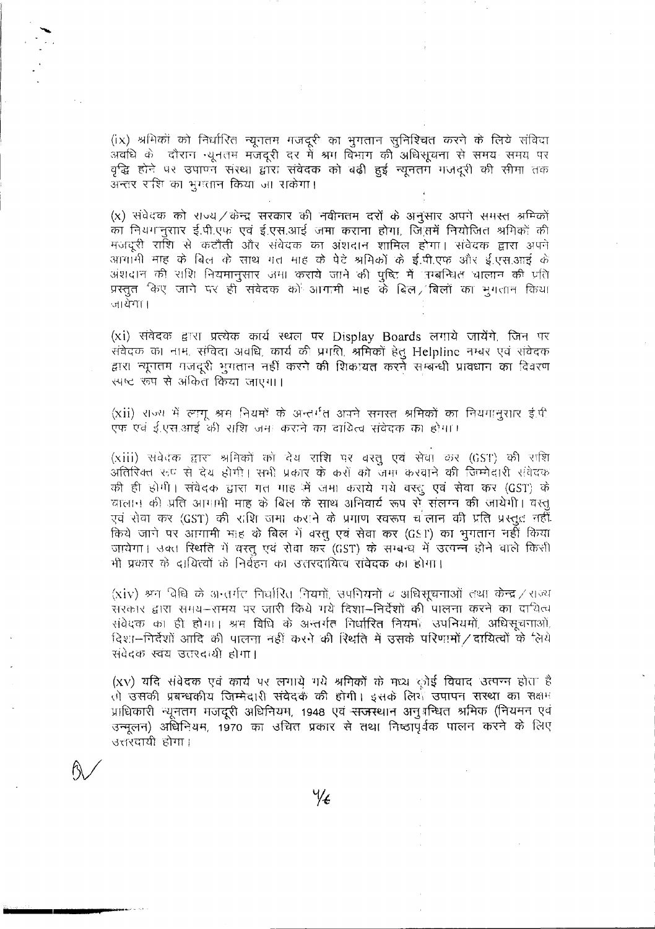(ix) श्रमिकों को निर्धारित न्यूगतम मजदूरी का भुगतान सुनिश्चित करने के लिये संविदा अवधि के दौरान सूनतम मजेंदूरी दर में श्रम विभाग की अधिसूचना से समय समय पर वृद्धि होने पर उपाण्न संस्था द्वारा संवेदक को बढ़ी हुई न्यूनतम मजदूरी की सीमा तक अन्तर रशि का भूगतान किया जा सकेगा।

(x) संवेदक को राज्य / केन्द्र सरकार की नवीनतम दरों के अनुसार अपने समस्त अमिकों का नियंगानुसार ई.पी.एफ एवं ई.एस.आई जमा कराना होगा, जिसमें नियोजित श्रमिकों की मजदूरी राशि से कटौती और संवेदक का अंशदान शामिल होगा। संवेदक द्वारा अपने आगामी माह के बिल के साथ गत माह के पेटे श्रमिकों के ई.पी.एफ और ई.एस.आई के अंशदान की राशि नियमानुसार अमा कराये जाने की पुष्टि में 'उम्बन्धित चालान की प्रति प्रस्तुत किए जाने पर ही संवेदक को आगामी भाह के बिल, बिलों का भुगतान किया जायेगा।

(xi) संवेदक द्वारा प्रत्येक कार्य स्थल पर Display Boards लगाये जायेंगे, जिन पर संवेदक का नाम, संविदा अवधि, कार्य की प्रगति, श्रमिकों हेतु Helpline नम्बर एवं संवेदक द्वारा न्यूनतम गजदूरी भूगतान नहीं करने की शिकायत करने सम्बन्धी प्रावधान का विवरण स्पष्ट रूप से अंकित किया जाएगा।

(xii) राज्य में लागू श्रम नियमों के अन्तर्गत अपने समस्त श्रमिकों का नियंगानुसार इं.पी एफ एवं ई.एस.आई की राशि जमा कराने का दायित्व संवेदक का होगा।

(xiii) संवेदक द्वारा श्रमिकों को देय राशि पर वस्तु एवं सेवा कर (GST) की राशि अतिरिक्त रूप से देय होगी। सभी प्रकार के करों को जमा करवाने की जिम्मेदारी संवेदक की ही होगी। संवेदक द्वारा गत माह में जमा कराये गये वरतु एवं सेवा कर (GST) के चालान की प्रति आगामी माह के बिल के साथ अनिवार्य रूप से संलग्न की जायेगी। वस्तु एवं सेवा कर (GST) की राशि जमा कराने के प्रगाण स्वरूप च<sup>ं</sup>लान की प्रति प्रस्तूत नहीं. किये जाने पर आगामी माह के बिल में वस्तु एवं सेवा कर (GST) का भुगतान नहीं किया जायेगा। उक्त स्थिति में वस्तू एवं सेवा कर (GST) के सम्बन्ध में उत्पन्न होने वाले किसी भी प्रकार के दायित्वों के निर्वहन का उत्तरदायित्व संवेदक का होगा।

(xiv) श्रम विधि के अन्तर्गत निर्धारित नियमों, उपनियमों व अधिसूचनाओं तथा केन्द्र / राज्य सरकार द्वारा समय-समय पर जारी किये गये दिशा-निर्देशों की पालना करने का दायित्व संवेदक का ही होगा। श्रम विधि के अन्तर्गत निर्धारित नियमों उपनियमों अधिसूचनाओं, दिशा-निर्देशों आदि की पालना नहीं करने की रिर्धात में उसके परिणामों / दायित्वों के लिये संवेदक स्वय उत्तरदायी होगा।

(xv) यदि संवेदक एवं कार्य पर लगाये गये श्रमिकों के मध्य छोई विवाद उत्पन्न होता है तो उसकी प्रबन्धकीय जिम्मेदारी संवेदक की होगी। इसके लिये उपापन सरथा का सक्षम प्राधिकारी न्यूनतम मजदूरी अधिनियम, 1948 एवं <del>राज</del>स्थान अनुशस्धित श्रमिक (नियमन एवं उन्मूलन) अधिनियम, 1970 का उचित प्रकार से तथा निष्ठापूर्वक पालन करने के लिए उत्तरदायी होगा।

 $\frac{1}{4}$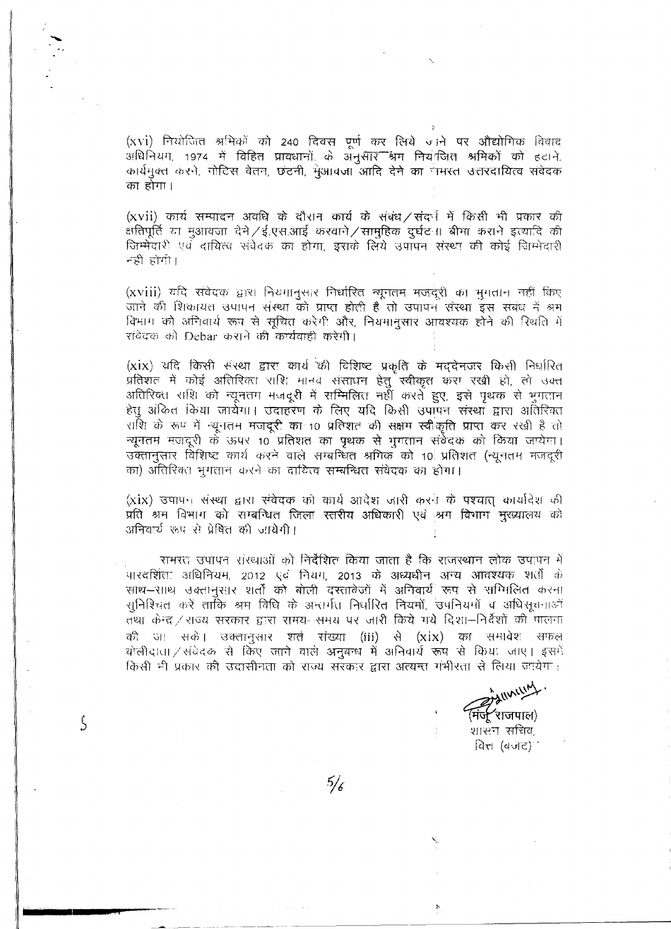(xvi) नियोजित श्रमिकों को 240 दिवस एर्ण कर लिये जाने पर औद्योगिक विवाद अधिनियग, 1974 में विहित प्रावधानों के अनुसार श्रम नियंक्तित श्रमिकों को हटाने, कार्यमुक्त करने, गोटिस वेतन, छटनी, मुआवजा आदि देने का नमस्त उत्तरदायित्व संवेदक का होगा।

(XVII) कार्य सम्पादन अवधि के दौरान कार्य के संबंध / संदर्भ में किसी भी प्रकार की क्षतिपूर्ति या मुआवजा देने / ई.एस.आई करवाने / सामुहिक दुर्घटना बीमा कराने इत्यादि की जिम्मेदारी एवं दायित्व संवेदक का होगा, इसके लिये उपापन संस्था की कोई जिम्मेदारी नहीं होगी।

(xviii) यदि संवेदक द्वारा नियमानुसार निर्धारित न्यूनतम मजदूरी का भुगतान नहीं किए जाने की शिकायत उपापन संस्था को प्राप्त होती है तो उपापन संस्था इस संबंध नें श्रम विभाग को अनिवार्य रूप से सूचित करेगी और, नियमानुसार आवश्यक होने की रिधति में संवेदक को Debar कराने की कार्यवाही करेगी।

(xix) यदि किसी संस्था द्वारा कार्य की विशिष्ट प्रकृति के मददेनजर किसी निर्धारित प्रतिशत में कोई अतिरिक्ता राशि मानव संसाधन हेतु स्वीकृत करा रखी हो, तो उक्त अतिरिक्त राशि को न्यूनतग मजदूरी में सम्मिलित नहीं करतें हुए, इसे पृथक से भूगतान हेतु अंकित किया जायेगा। उदाहरण के लिए यदि किसी उपापन संस्था द्वारा अतिरिक्त राशि के रूप में न्यूनतम मजदूरी का 10 प्रतिशत की सक्षम स्वीकृति प्राप्त कर रखी है तो न्यूनतम मजदूरी के ऊपर 10 प्रतिशत का पृथक से भूगतान संवेदक को किया जायेगा। उक्तानुसार विशिष्ट कार्य करने वाले सम्बन्धित श्रमिक को 10 प्रतिशत (न्युनतम मजदरी का) अतिरिक्त भूगतान करने का दायित्व सम्बन्धित संवेदक का होगा।

(xix) उपापन संस्था द्वारा संवेदक को कार्य आदेश जारी करने के पश्यात कार्यादेश की प्रति अन विभाग को सम्बन्धित जिला स्तरीय अधिकारी एवं श्रम विभाग मुख्यालय को अनिवार्य रहप से प्रेषित की जायेगी।

समरत उपापन संस्थाओं को निर्देशित किया जाता है कि राजस्थान लोक उपापन में पारदर्शिता अधिनियम, 2012 एवं नियम, 2013 के अध्यधीन अन्य आवश्यक शर्तों के साथ—साथ उक्तानुसार शर्तों को बोली दरतावेजों में अनिवार्य रूप से सम्मिलित करना सुनिश्चित करें ताकि श्रम विधि के अन्तर्गत निर्धारित नियमों, उपनियमों व अधिसूचनाओं तथा केन्द्र / राज्य सरकार द्वारा समय--समय पर जारी किये गये दिशा—निर्देशों की पालना की जा सकें। उक्तानुसार शर्त संख्या (iii) से (xix) का समावेश सफल बोलीदाता / संवेदक से किए जाने वाले अनुबन्ध में अनिवार्य रूप से किया जाए। इसमें किसी भी प्रकार की उदासीनता को राज्य सरकार द्वारा अत्यन्त गंभीरता से लिया जायेगा।

 $5/6$ 

Ś

ENVILLE <sup>(</sup>मंर्ज्∕ राजपाल)

शासन संचिव, वित्त (बजट)।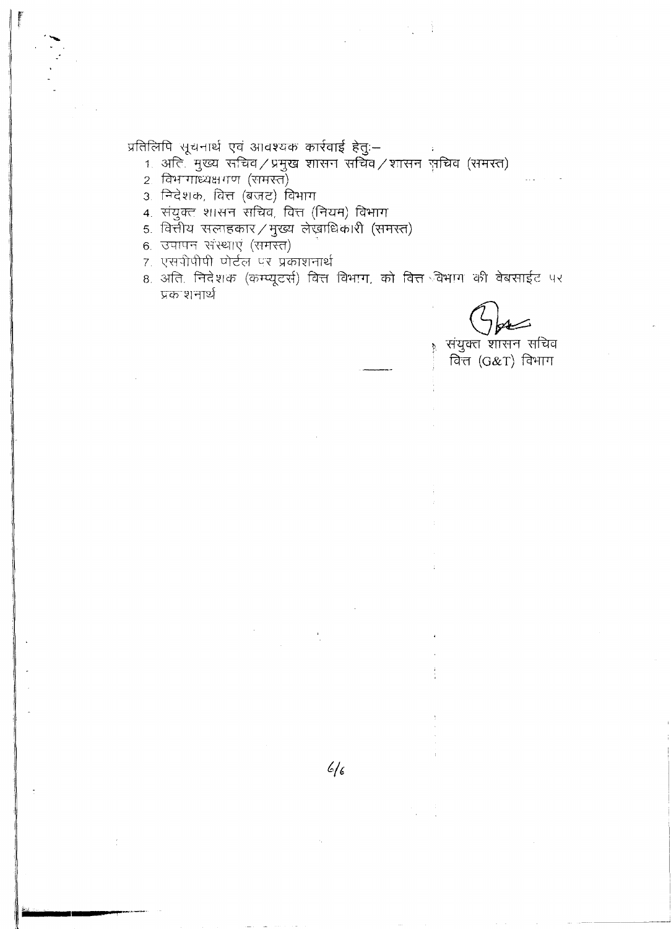प्रतिलिपि सूचनार्थ एवं आवश्यक कार्रवाई हेतुः–

- 1 अति मुख्य सचिव / प्रमुख शासन सचिव / शासन सचिव (समरत)<br>2 विभागाध्यक्षगण (समस्त)
- 
- 3. निदेशक, वित्त (बजट) विभाग
- 4. संयुक्त शासन सचिव, वित्त (नियम) विभाग
- 5. वित्तीय सलाहकार / मुख्य लेखाधिकारी (समस्त)
- 6. उपापन संस्थाएं (समस्त)
- 7. एसपीपीपी पोर्टल पर प्रकाशनार्थ
- 8. अति. निदेशक (कम्प्यूटर्स) वित्त विभाग, को वित्त विभाग की वेबसाईट पर प्रक शनार्थ

Δ

संयुक्त शासन सचिव वित्त (G&T) विभाग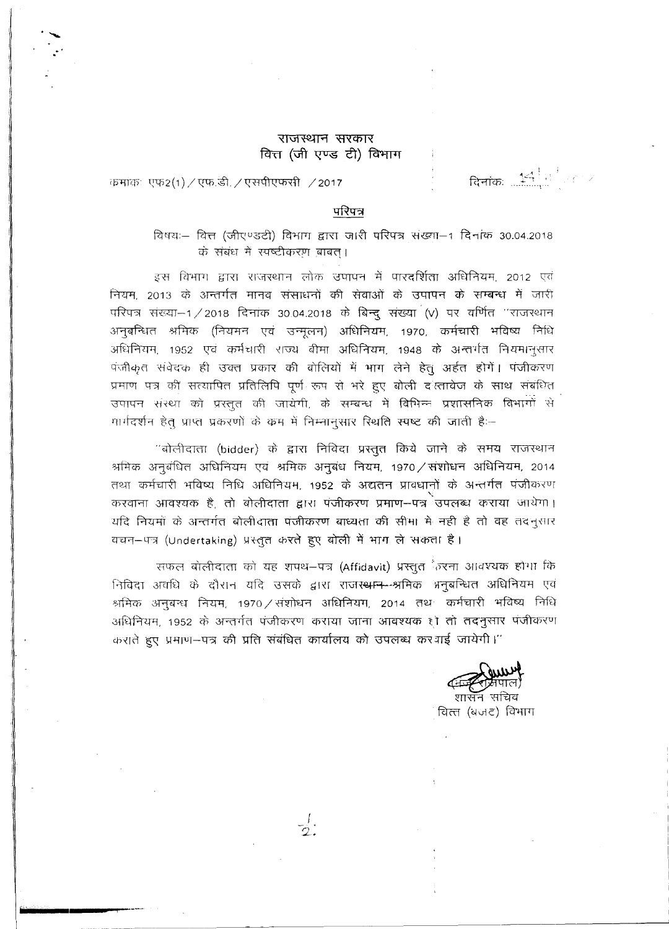## राजस्थान सरकार वित्त (जी एण्ड टी) विभाग

दिनांकः $\left\| \frac{4}{\sqrt{3}} \right\|$ 

कमांकः एफ2(1) / एफ.डी. / एसपीएफसी /2017

## परिपत्र

विषयः- वित्त (जीएण्डटी) विभाग द्वारा जारी परिपत्र संख्या-1 दिनांक 30.04.2018 के संबंध में रपष्टीकरण बाबत।

इस विभाग द्वारा राजस्थान लोक उपापन में पारदर्शिता अधिनियम, 2012 एवं नियम, 2013 के अन्तर्गत मानव संसाधनों की सेवाओं के उपापन के सम्बन्ध में जारी परिपत्र संख्या–1/2018 दिनांक 30.04.2018 के बिन्दू संख्या (V) पर वर्णित "राजस्थान अनुबन्धित श्रमिक (नियमन एवं उन्मूलन) अधिनियम, 1970, कर्मचारी भविष्य निधि अधिनियम, 1952 एवं कर्मचारी राज्य बीमा अधिनियम, 1948 के अन्तर्गत नियमानुसार पंजीकृत संवेदक ही उक्त प्रकार की बोलियों में भाग लेने हेतुं अर्हत होगें। पंजीकरण प्रमाण पत्र की सत्यापित प्रतिलिपि पूर्ण रूप से भरे हुए बोली दरत्तावेज के साथ संबंधित उपापन संस्था को प्रस्तुत की जायेगी, के सम्बन्ध में विभिन्न प्रशासनिक विभागों से मार्गदर्शन हेत् प्राप्त प्रकरणों के कम में निम्नानुसार स्थिति स्पष्ट की जाती है:--

''बोलीदाता (bidder) के द्वारा निविदा प्रस्तुत किये जाने के समय राजस्थान श्रमिक अनुबंधित अधिनियम एवं श्रमिक अनुबंध नियम, 1970 / संशोधन अधिनियम, 2014 तथा कर्मचारी भविष्य निधि अधिनियम, 1952 के अद्यतन प्रावधानों के अन्तर्गत पंजीकरण करवाना आवश्यक है. तो बोलीदाता द्वारा पंजीकरण प्रमाण-पत्र उपलब्ध कराया जायेगा। यदि नियमों के अन्तर्गत बोलीदाता पंजीकरण बाध्यता की सीमा में नहीं है तो वह तदनुसार .<br>वचन—पत्र (Undertaking) प्रस्तूत करते हुए बोली में भाग ले सकता है।

सफल बोलीदाता को यह शपथ–पत्र (Affidavit) प्रस्तुत ैंग्र्टना आवश्यक होगा कि निविदा अवधि के दौरान यदि उसके द्वारा राजस्<del>थान श्र</del>मिक भनुबन्धित अधिनियम एवं श्रमिक अनुबन्ध नियम, 1970 / संशोधन अधिनियम, 2014 तथ- कर्मचारी भविष्य निधि अधिनियम, 1952 के अन्तर्गत पंजीकरण कराया जाना आवश्यक हो तो तदनुसार पंजीकरण कराते हुए प्रमाण-पत्र की प्रति संबंधित कार्यालय को उपलब्ध कर गई जायेगी।''

शासन सचिव वित्त (बजट) विभाग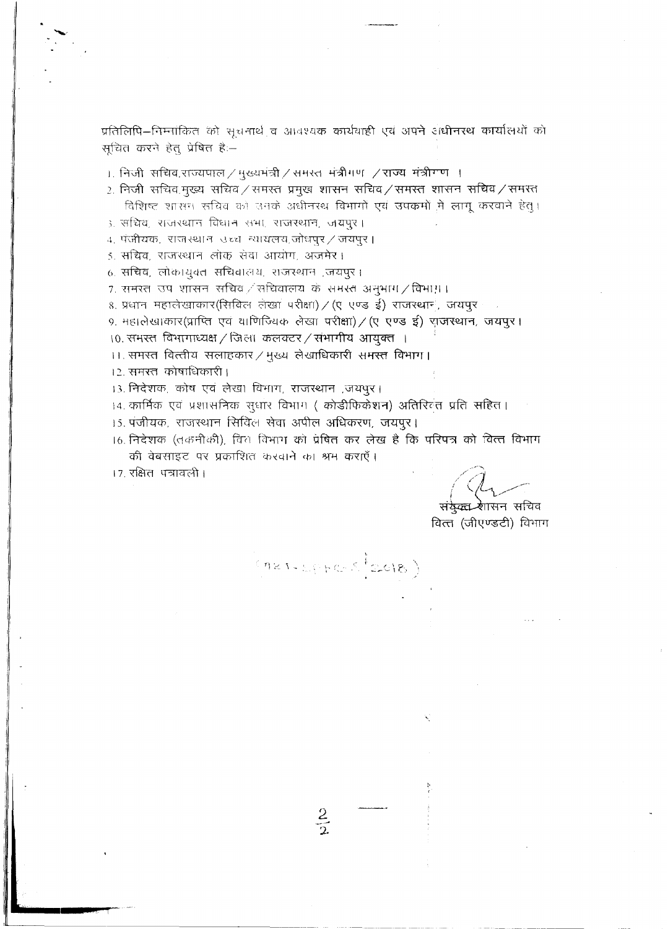प्रतिलिपि–निम्नांकित को सूचनार्थ व आवश्यक कार्यवाही एवं अपने अधीनरथ कार्यालयों को सूचित करने हेतु प्रेषित है:--

- $_{\rm L}$  निजी सचिव,राज्यपाल $\neq$ मुख्यमंत्री $\neq$ समस्त मंत्रीगण  $\neq$ राज्य मंत्रीगण ।
- 2. निजी सचिव मुख्य सचिव / समस्त प्रमुख शासन सचिव / समस्त शासन सचिव / समस्त विशिष्ट शासन सचिव को उनके अधीनस्थ विभागों एवं उपक्रमों में लागू करवाने हेतु।
- ३. सचिव, राजस्थान विधान सभा, राजस्थान, जयपुर।
- 4. पंजीयक, राजस्थान उच्च न्यायलय,जोधपुर / जयपुर।
- 5. सचिव, राजस्थान लोक सेवा आयोग, अजमेर।
- 6. सचिव, लोकायुक्त सचिवालय, राजस्थान ,जयपुर।
- 7. समरत उप शासन सचिव / सचिवालय के समस्त अनुभाग / विभाग़।
- 8. प्रधान महालेखाकार(सिविल लेखा परीक्षा) / (ए एण्ड ई) राजस्थान, जयपुर
- ९. महालेखाकार(प्राप्ति एवं वाणिज्यिक लेखा परीक्षा) / (ए एण्ड ई) याजस्थान, जयपुर।
- 10. समस्त विभागाध्यक्ष / जिला कलक्टर / संभागीय आयुक्त ।
- 11. समस्त वित्तीय सलाहकार / मुख्य लेखाधिकारी समस्त विभाग।
- 12. समस्त कोषाधिकारी।
- 13. निदेशक, कोष एवं लेखा विभाग, राजस्थान ,जयपुर।
- 14. कार्मिक एवं प्रशासनिक सुधार विभाग ( कोडीफिकेशन) अतिरित्तंत प्रति सहित।
- 15. पंजीयक, राजस्थान सिविल सेवा अपील अधिकरण, जयपूर।
- 16. निदेशक (तकनीकी), वित विभाग को प्रेषित कर लेख है कि परिपत्र को वित्त विभाग की वेबसाइट पर प्रकाशित करवाने का श्रम कराएँ।

(Met-Litte Stadis)

17. रक्षित पत्रावली।

संकेक्टा शासन सचिव

वित्त (जीएण्डटी) विभाग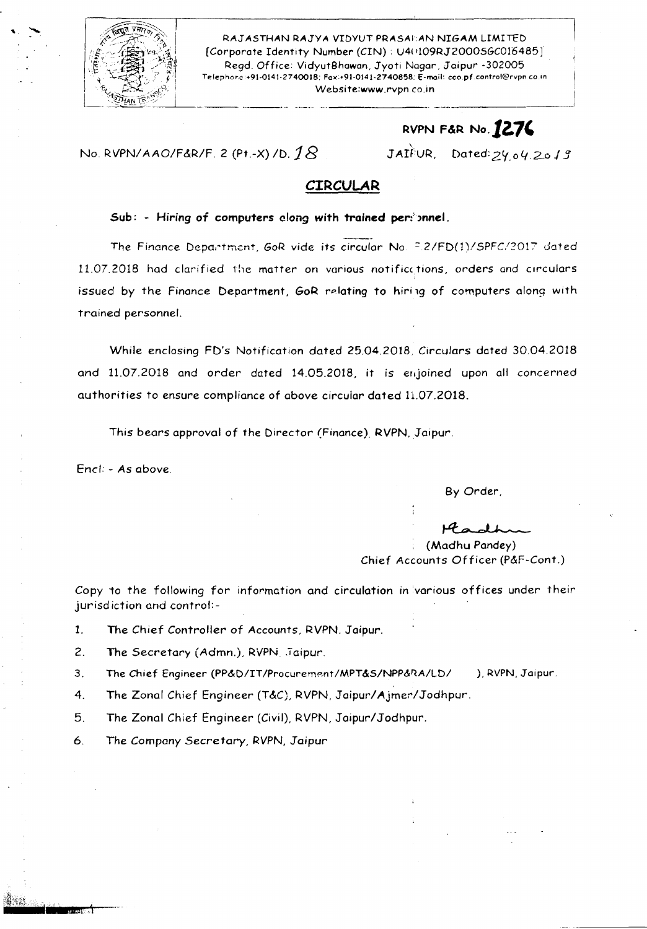

, "

RAJASTHAN RAJYA VIDYUT PRASAEAN NIGAM LIMITED [Corporate Identity Number (CIN) : U4(109RJ2000SGC016485] Regd. Office: VidyutBhawan, Jyoti Nagar, Jaipur -302005. Telephore:+91-0141-2740018: Fax:+91-0141-2740858: E-mail: coo.pf.control@rvpn.co.in<br>Website:www.rvpn.co.in [Website:www.rvpn.co.i](http://Website:www.rvpn.co.in)n

# RVPN F&R No. **1276**

#### No. RVPNI *AAO/F&R/F.* <sup>2</sup> (Pt.-X) *ID.18* '.

JAIFUR, Dated: 24.04.2013

## **CIRCULAR**

#### Sub: - Hiring of computers clong with trained perionnel.

The Finance Department, GoR vide its circular No. F.2/FD(1)/SPFC/2017 dated 11.07.2018 had clarified the matter on various notificctions, orders and circulars issued by the Finance Department, GoR relating to hiring of computers along with trained personnel.

While enclosing FD's Notification dated 25.04.2018. Circulars dated 30.04.2018 and 11.07.2018 and order dated 14.05.2018, it is enjoined upon all concerned authorities to ensure compliance of above circuiar dated 11.07.2018.

This bears approval of the Director (Finance). RVPN, Jaipur.

Enc/: - As above.

By Order,

~ (Madhu Pandey)

Chief Accounts Officer (P&F-Cont.)

Copy to the following for information and circulation in various offices under their jurisd iction and control:-

1. The Chief Controller of Accounts, RVPN, Jaipur.

2. The Secretary (Admn.), RVPN. Jaipur.

3. The Chief Engineer (PP&D/IT/Procurement/MPT&S/NPP&RA/LD/ ), RVPN, Jaipur.

4. The Zonal Chief Engineer (T&C), RVPN, Jaipur/Ajmer/Jodhpur.

5. The Zonal Chief Engineer (Civil), RVPN, Jaipur/Jodhpur.

6. The Company Secretary, RVPN,Jaipur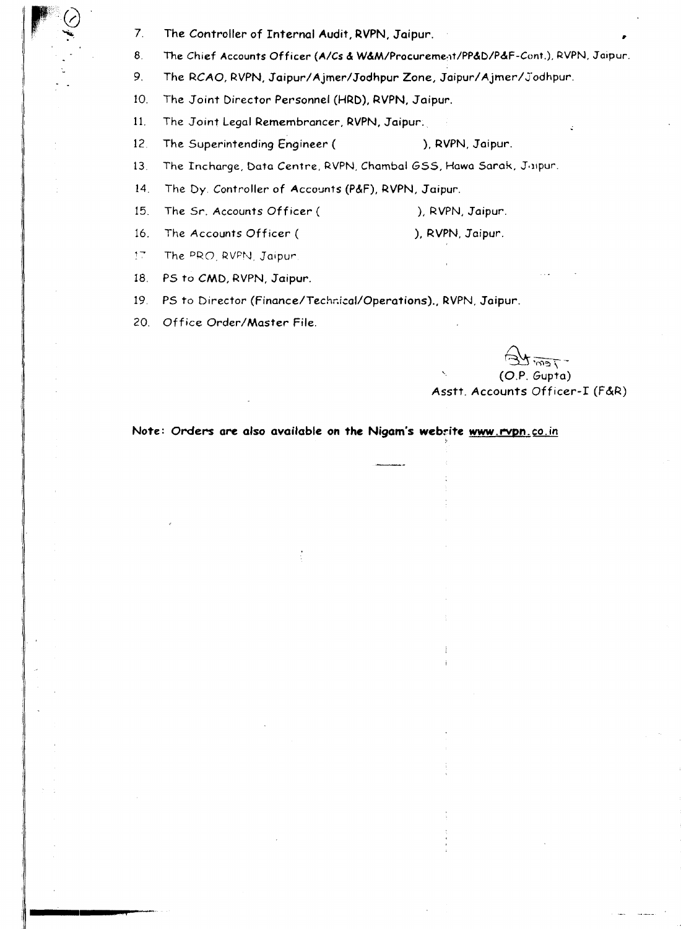- 7. The Controller of Internal Audit, RVPN, Jaipur.
- *B.* The Chief Accounts Officer *(Ales* & W&M/Procureme-1t/PP&D/P&F-Cont.), RVPN, Jaipur.
- 9. The RCAO, RVPN, Jaipur/Ajmer/Jodhpur Zone, Jaipur/Ajmer/Jodhpur.
- 10. The Joint Director Personnel (HRD), RVPN, Jaipur.
- 11. The Joint Legal Remembrancer, RVPN, Jaipur ..
- 12. The Superintending Engineer ( ), RVPN, Jaipur.
- 13. The Incharge, Data Centre, RVPN, Chambal GSS, Hawa Sarak, Juipur.
- 14. The Dy. Controller of Accounts (P&F), RVPN, Jaipur.
- 15. The Sr. Accounts Officer ( ), RVPN, Jaipur.
- 16. The Accounts Officer ( ), RVPN, Jaipur.
- $\mathfrak{g}$  , The PRO, RVPN, Jaipur.

 $\overline{Q}$ 

- 18. PS to CMD, RVPN, Jaipur.
- 19, PS to Director (Finance/Technical/Operations)., RVPN, Jaipur.
- 20, Office Order/Master File.

 $\widetilde{\epsilon}$ , (O.P. Gupta) Asstt. Accounts Officer-I (F&R)

!.

#### Note: Orders are also available on the Nigam's website www.rvpn.co.in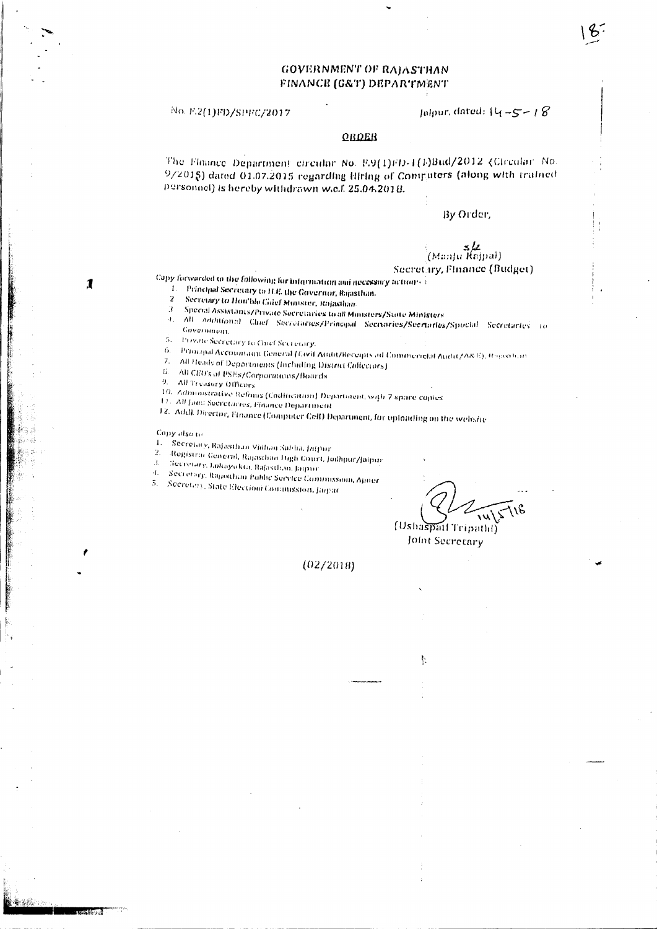## **GOVERNMENT OF RAJASTHAN** FINANCE (G&T) DEPARTMENT

No. F.2(1)FD/SPFC/2017

#### Jalpur, dated:  $\{4 - 5 - 18\}$

#### **QRDER**

The Floance Department circular No. P.9(1)FD-1(1)Bud/2012 (Circular No. 9/2015) dated 01.07.2015 regarding Hiring of Computers (along with trained personnel) is hereby withdrawn w.c.f. 25.04.2018.

#### By Order,

عاد<br>(Manju Kajpal)

Secretary, Finance (Budget)

Capy forwarded to the following for information and necessary actions and

- 1. Principal Secretary to H.E. the Governor, Rajasthan.  $\overline{2}$
- Secretary to Hon'ble Gaief Minister, Rojasthan
- $\boldsymbol{\beta}$ Special Assistants/Private Secretaries to all Ministers/State Ministers
- 4. All Additional Chief Secretaries/Principal Secretaries/Secretaries/Spocial Secretaries to
- Government.  $\mathcal{L}_{\mathcal{L}}$
- **Provide Secretary to Chief Secretary.**
- 6. Principal Accountaint General (Gwil Audit/Receipts ad Commerictal Audit/A&E), Rogasilian
- $7<sub>1</sub>$ All Heads of Departments (Including District Collectors)
- $\hat{B}$  . All CEO's of PSEs/Corporations/Boards
- 9. All Treasury Officers
- 
- 10. Administrative Refnus (Codification) Department, with 7 space copies
- 11. All Jons Secretaries, Finance Department
- 12. Addl. Director, Finance (Computer Cell) Department, for uploading on the website

Copy also to

 $\mathbf{I}$ 

- 1. Secretary, Rafasthan Vidhan Sabha, Jaipur  $\overline{2}$ .
- Registrar General, Rajasthan High Court, Jodhpur/Jaipur  $\mathbf{H}^{\prime}$
- Secretary, Lokayukta, Bajasthan, Jaipur.
- d. Secretary, Rapischan Public Service Commission, Apper
- 5. Secretary, State Election Commission, Jaguar

(Ushaspatt Tripathl)

Joint Secretary

ħ.

 $(02/2018)$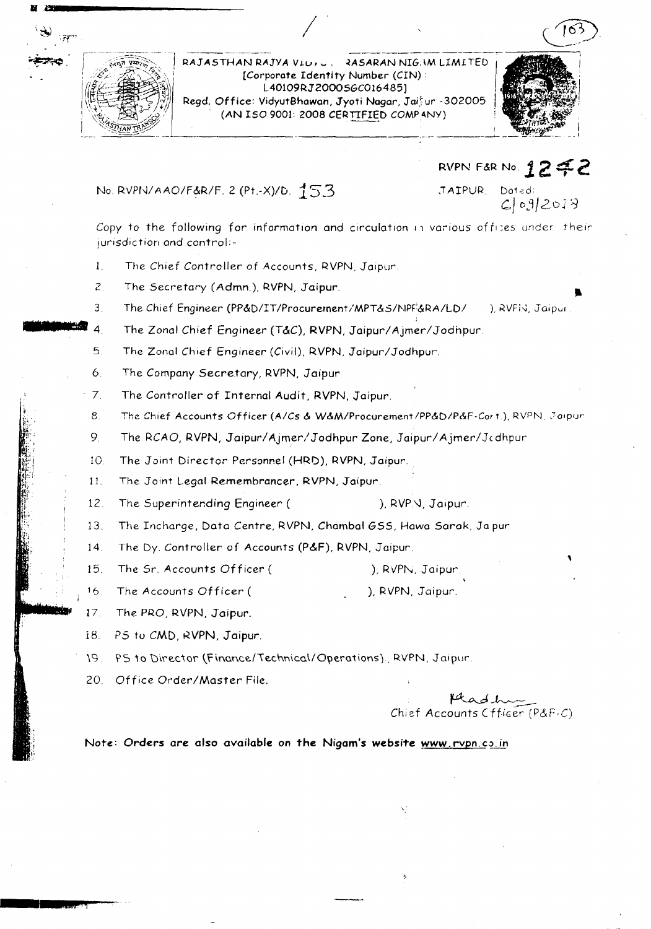

RAJASTHAN RAJYA VIUIL. 2ASARAN NIG.IM LIMITED [Corporate Identity Number (CIN): 1..40109RJ2000SGC016485) Regd. Office: VidyutBhawan, Jyoti Nagar, Jaifur -302005.  $(AN ISO 9001: 2008 CERTIFIED COMPANY)$ 



No. RVPN/AAO/F&R/F. 2 (Pt.-X)/D. 153

,TAIPUR. Doted ~IDj/2o<sup>J</sup> <sup>~</sup>

RVPN F&R No. 1. **2 :f:. 2-**

••

,

Copy to the following for information and circulation in various offices under their jurisdiction and control:-

- 1. The Chief Controller of Accounts, RVPN. Jaipur
- 2 The Secretary (Admn.), RVPN, Jaipur.
- The Chief Engineer (PP&D/IT IProcuretnent / MPT*&S/I'.lPF:&RA/LDI* ), RVFis, Jaipul
- 3. .\_PJ'~.4. The Zonal Chief Engineer (T&C), RVPN, Jaipur/Ajmer/Jodhpur.
	- 5. The Zonal Chief Engineer (Civil), RVPN, Jaipur/Jodhpur.
	- 6. The Company Secretary, RVPN, Jaipur
	- 7. The Controller of Internal Audit, RVPN. Jaipur.
	- 8. The Chief Accounts Officer (A/Cs & W&M/Procurement/PP&D/P&F-Cort.), RVPN, Joipur
	- 9. The RCAO, RVPN, Jaipur/Ajmer/Jodhpur Zone, Jaipur/Ajmer/Jcdhpu
	- 10. The Joint Director Personnel (HRD), RVPN, Jaipur.
	- 11. The Joint Legal Remembrancer, RVPN, Jaipur.
	- 12. The Superintending Engineer (
	), RVP.V, Jaipur.
	- 13. The Incharge, Data Centre, RVPN, Chambal GSS, Hawa Sarok, Ja pur
	- 14. The Dy. Controller of Accounts (P&F), RVPN, Jaipur.
	- 15. The Sr. Accounts Officer ( ), RVPN, Jaipur
	- 16. The Accounts Officer ( ), RVPN, Jaipur.
	- 17. The PRO, RVPN, Jaipur.
	- 18. PS to CMD, RVPN, Jaipur.
	- 19 . PS to Director (Finance/Technical/Operations) . RVPN, Jaipur.
	- 20. Office Order/Master File.

Fad hum<br>Chief Accounts Cfficer (P&F-C

Note: Orders are also available on the Nigam's website www.rvpn.co.in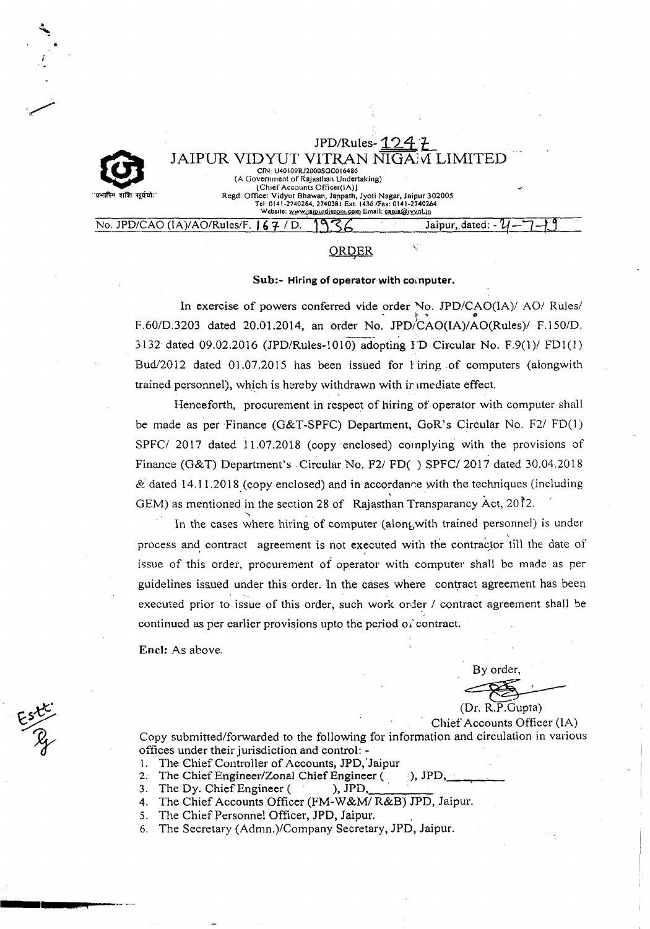JPD/Rules- $12$ JAIPUR VIDYUT VITRAN NIGAM LIMITED CIN: U40109RJ2000SGC016486 (A Government of Rajasthan Undertaking) (Chief Accounts Ofticer(IA)) Regd. Office: Vidyut Bhawan, Janpath, Jyoti Nagar, Jaipur 302005 Tel: 0141-2740264, 2740381 Ext. 1436 /Fax: 0141-274024<br>Website: www.jajpurdiscom.com Email: capia@ivvnl.in

# No. JPD/CAO (IA)/AO/Rules/F. **167** / D. 1936

## **ORDER**

#### Sub:- Hiring of operator with computer.

In exercise of powers conferred vide order No. JPD/CAO(IA)/ AO/ Rules. F.60/D.3203 dated 20.01.2014, an order No. JPD/CAO(IA)/AO(Rules)/ F.150/D. 3132 dated 09.02.2016 (JPD/Rules-I010) adopting I'D Circular No. F.9(l)/ FDI(]) Bud/2012 dated  $01.07.2015$  has been issued for *l* iring of computers (alongwith trained personnel), which is hereby withdrawn with immediate effect.

Henceforth, procurement in respect of hiring of operator with computer shall be made as per Finance (G&T-SPFC) Department, GoR's Circular No. F2/ FD(I) SPFC/ 2017 dated 11.07.2018 (copy enclosed) complying with the provisions of Finance (G&T) Department's Circular No. F2/ *FD*( ) SPFC/ 2017 dated 30.04.2018  $\&$  dated 14.11.2018 (copy enclosed) and in accordance with the techniques (including GEM) as mentioned in the section 28 of Rajasthan Transparancy Act,  $20\tilde{1}$ 2.

In the cases where hiring of computer (alongwith trained personnel) is under process and contract agreement is not executed with the contractor till the date of issue of this order, procurement of operator with computer shall be made as per guidelines issued under this order. In the cases where contract agreement has been executed prior to issue of this order, such work order / contract agreement shall be continued as per earlier provisions upto the period *of* contract.

Encl: As above.

By order,

(Dr. R.P.Gupta)

Chief Accounts Officer (lA) Copy submitted/forwarded to the following for information and circulation in various offices under their jurisdiction and control: -

- 1. The Chief Controller of Accounts, JPD,'Jaipur
- 2. The Chief Engineer/Zonal Chief Engineer  $($ .  $)$ , JPD,
- 3. The Dy. Chief Engineer ( ), JPD,
- 4. The Chief Accounts Officer (FM-W&M/ R&B) JPD, Jaipur,
- 5. The Chief Personnel Officer, JPD, Jaipur.
- 6. The Secretary (Admn.)/Company Secretary, *lPD,* Jaipur.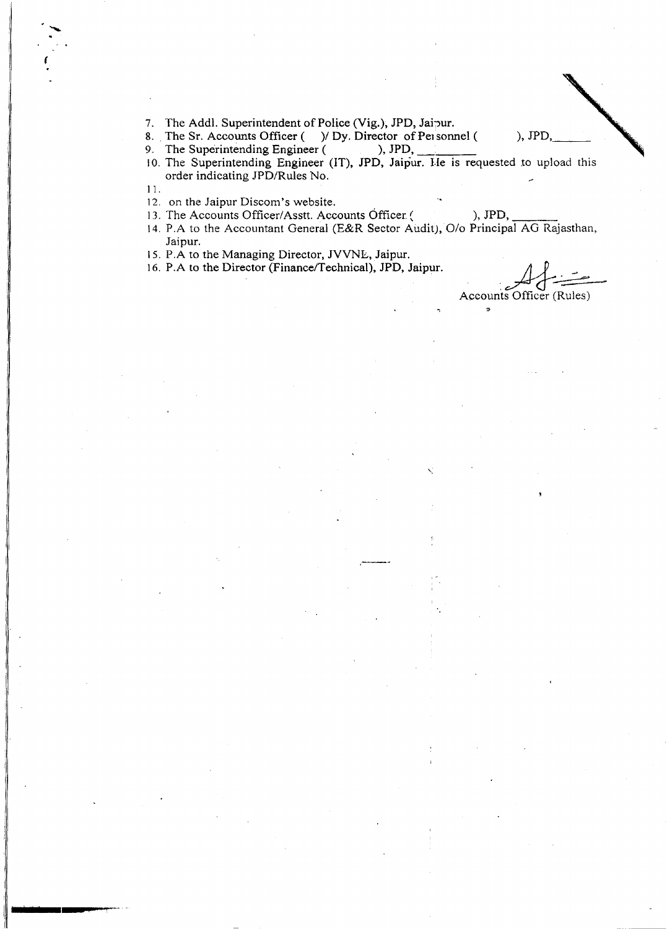7. The Addl. Superintendent of Police (Vig.), JPD, Jaipur.

8. The Sr. Accounts Officer ( ) Dy. Director of Personnel ( ), JPD

9. The Superintending Engineer ( ), JPD,

10. The Superintending Engineer (IT), JPD, Jaipur. He is requested to upload this order indicating JPD/Rules No.

11.

(

12. on the Jaipur Discom's website.

13. The Accounts Officer/Asstt. Accounts Officer ( ), JPD,

14. P.A to the Accountant General (E&R Sector Audit), O/o Principal AG Rajasthan, Jaipur.

-,

15. P.A to the Managing Director, JVVNL, Jaipur.

16. P.A to the Director (Finance/Technical), JPD, Jaipur.

.<br>مس Accounts Officer (Rules)

 $\sigma$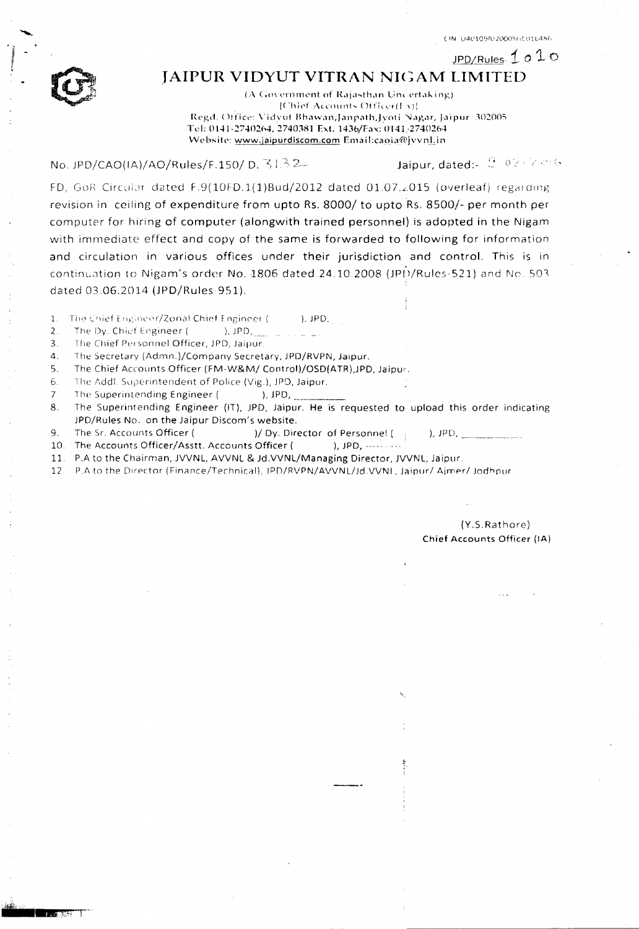JPD/Rules  $1010$ 



## JAIPUR VIDYUT VITRAN NIGAM LIMITED

(A Government of Rajasthan Uncertaking) [Chief Accounts Officer(EV)]. Regd. Office: Vidvut Bhawan,Janpath,Jyoti Nagar, Jaipur. 302005 Tel: 0141-2740264, 2740381 Ext. 1436/Fax: 0141-2740264 Website: www.jaipurdiscom.com Email:caoia@jvvnl.in

No. JPD/CAO(IA)/AO/Rules/F.150/ D. 3132

Jaipur, dated: 3, 02, 2006

FD, GoR Circular dated F.9(10FD.1(1)Bud/2012 dated 01.07.2015 (overleaf) regarding revision in ceiling of expenditure from upto Rs. 8000/ to upto Rs. 8500/- per month per computer for hiring of computer (alongwith trained personnel) is adopted in the Nigam with immediate effect and copy of the same is forwarded to following for information and circulation in various offices under their jurisdiction and control. This is in continuation to Nigam's order No. 1806 dated 24.10.2008 (JPD/Rules-521) and No. 503 dated 03.06.2014 (JPD/Rules-951).

 $\overline{1}$ . The Chief Engineer/Zonal Chief Engineer (  $I.$  JPD,

 $\mathcal{L}$ The Dy. Chief Engineer (  $)$ ,  $JPD$ ,

 $3<sub>1</sub>$ The Chief Personnel Officer, JPD, Jaipur.

4. The Secretary (Admn.)/Company Secretary, JPD/RVPN, Jaipur.

The Chief Accounts Officer (FM-W&M/ Control)/OSD(ATR), JPD, Jaipur.  $5<sub>1</sub>$ 

The Addl. Superintendent of Police (Vig.), JPD, Jaipur. 6.

 $\overline{7}$ . The Superintending Engineer ( ),  $JPD$ ,

The Superintending Engineer (IT), JPD, Jaipur. He is requested to upload this order indicating 8. JPD/Rules No. on the Jaipur Discom's website.

 $9<sub>1</sub>$ The Sr. Accounts Officer ( )/ Dy. Director of Personnel (  $),$  JPD,

10. The Accounts Officer/Asstt. Accounts Officer ( 

11. P.A to the Chairman, JVVNL, AVVNL & Jd. VVNL/Managing Director, JVVNL, Jaipur.

 $12<sup>1</sup>$ P.A to the Director (Finance/Technical), JPD/RVPN/AVVNL/Jd.VVNL, Jaipur/ Ajmer/ Jodhpur.

> (Y.S.Rathore) Chief Accounts Officer (IA)